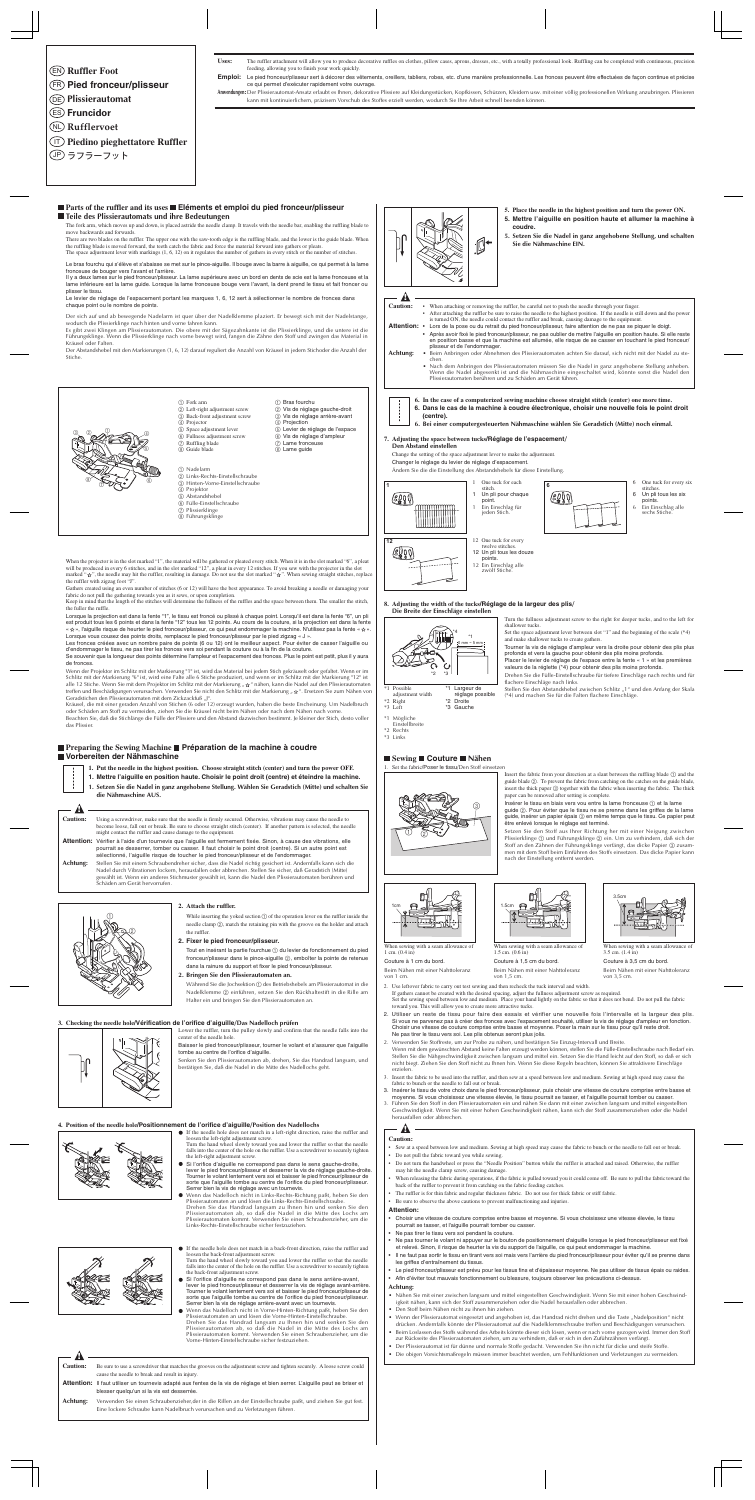- **Ruffler Foot** EN
- **Pied fronceur/plisseur** FR
- **Plissierautomat** DE
- **Fruncidor** ES
- **Rufflervoet** NL
- **Piedino pieghettatore Ruffler** IT
- <u>JP</u>) ラフラーフット

Uses: The ruffler attachment will allow you to produce decorative ruffles on clothes, pillow cases, aprons, dresses, etc., with a totally professional look. Ruffling can be completed with continuous, precision feeding, allowing you to finish your work quickly.

Emploi: Le pied fronceur/plisseur sert à décorer des vêtements, oreillers, tabliers, robes, etc. d'une manière professionnelle. Les fronces peuvent être effectuées de façon continue et précise ce qui permet d'exécuter rapidement votre ouvrage.

**Anwendungen:**Der Plissierautomat-Ansatz erlaubt es Ihnen, dekorative Plissiere auf Kleidungsstücken, Kopfkissen, Schürzen, Kleidern usw. mit einer völlig professionellen Wirkung anzubringen. Plissieren kann mit kontinuierlichem, präzisem Vorschub des Stoffes erzielt werden, wodurch Sie Ihre Arbeit schnell beenden können.

While inserting the yoked section  $(1)$  of the operation lever on the ruffler inside the needle clamp  $@$ , match the retaining pin with the groove on the holder and attach the ruffler.

#### **Parts of the ruffler and its uses Eléments et emploi du pied fronceur/plisseur Teile des Plissierautomats und ihre Bedeutungen**

Tout en insérant la partie fourchue 1 du levier de fonctionnement du pied fronceur/plisseur dans le pince-aiguille 2, emboîter la pointe de retenue dans la rainure du support et fixer le pied fronceur/plisseur.

Während Sie die Jochsektion 1 des Betriebshebels am Plissierautomat in die Nadelklemme (2) einführen, setzen Sie den Rückhaltestift in die Rille am Halter ein und bringen Sie den Plissierautomaten an.

- 1 Fork arm 2 Left-right adjustment screw 3 Back-front adjustment screw (4) Projector
	-
- 5 Space adjustment lever
- 6 Fullness adjustment screw
- 7 Ruffling blade 8 Guide blade

## ■ Preparing the Sewing Machine ■ Préparation de la machine à coudre **Vorbereiten der Nähmaschine**



# 1 Nadelarm

- 2 Links-Rechts-Einstellschraube 3 Hinten-Vorne-Einstellschraube
- 4 Projektor
- 5 Abstandshebel
- 6 Fülle-Einstellschraube
- 7 Plissierklinge
- 8 Führungsklinge
- 2 Vis de réglage gauche-droit 3 Vis de réglage arrière-avant
- 4 Projection
- 5 Levier de réglage de l'espace
- 6 Vis de réglage d'ampleur  $\overline{O}$  Lame fronceuse
- 8 Lame guide

(1) Bras fourchu

#### **2. Attach the ruffler.**

#### **2. Fixer le pied fronceur/plisseur.**

**2. Bringen Sie den Plissierautomaten an.**

#### **3. Checking the needle hole/Vérification de l'orifice d'aiguille/Das Nadelloch prüfen**

Lower the ruffler, turn the pulley slowly and confirm that the needle falls into the center of the needle hole.

- When attaching or removing the ruffler, be careful not to push the needle through your finger • After attaching the ruffler be sure to raise the needle to the highest position. If the needle is still down and the power
- is turned ON, the needle could contact the ruffler and break, causing damage to the equipment **Attention:** • Lors de la pose ou du retrait du pied fronceur/plisseur, faire attention de ne pas se piquer le doigt. • Après avoir fixé le pied fronceur/plisseur, ne pas oublier de mettre l'aiguille en position haute. Si elle reste
	- en position basse et que la machine est allumée, elle risque de se casser en touchant le pied fronceur/ plisseur et de l'endommager.
- **Achtung:** Beim Anbringen oder Abnehmen des Plissierautomaten achten Sie darauf, sich nicht mit der Nadel zu stechen.
	- Nach dem Anbringen des Plissierautomaten müssen Sie die Nadel in ganz angehobene Stellung anheben. Wenn die Nadel abgesenkt ist und die Nähmaschine eingeschaltet wird, könnte sonst die Nadel den Plissierautomaten berühren und zu Schäden am Gerät führen.

- 1 Un pli pour chaque **EDIT** 1 Ein Einschlag für
- 6 One tuck for every six stitches. 6 Un pli tous les six
- points. 6 Ein Einschlag alle sechs Stiche

Baisser le pied fronceur/plisseur, tourner le volant et s'assurer que l'aiguille tombe au centre de l'orifice d'aiguille.

Senken Sie den Plissierautomaten ab, drehen, Sie das Handrad langsam, und bestätigen Sie, daß die Nadel in die Mitte des Nadellochs geht.

Changer le réglage du levier de réglage d'espacement. Ändern Sie die die Einstellung des Abstandshebels für diese Einstellung. 1 One tuck for each 6 <u>leg</u>og

If the needle hole does not match in a left-right direction, raise the ruffler and loosen the left-right adjustment screw. Turn the hand wheel slowly toward you and lower the ruffler so that the needle

Wenn das Nadelloch nicht in Links-Rechts-Richtung paßt, heben Sie den Plissierautomaten an und lösen die Links-Rechts-Einstellschraube. Drehen Sie das Handrad langsam zu Ihnen hin und senken Sie den Plissierautomaten ab, so daß die Nadel in die Mitte des Lochs am Plissierautomaten kommt. Verwenden Sie einen Schraubenzieher, um die Links-Rechts-Einstellschraube sicher festzuziehen.



#### **4. Position of the needle hole/Positionnement de l'orifice d'aiguille/Position des Nadellochs**



If the needle hole does not match in a back-front direction, raise the ruffler and loosen the back-front adjustment screw.

When the projector is in the slot marked "1", the material will be gathered or pleated every stitch. When it is in the slot marked "6", a pleat will be produced in every 6 stitches, and in the slot marked "12", a pleat in every 12 stitches. If you sew with the projector in the slot marked " $\dot{\varphi}$ ", the needle may hit the ruffler, resulting in damage. Do not use the slot marked " $\dot{\varphi}$ ". When sewing straight stitches, replace the ruffler with zigzag foot "J".

> Turn the hand wheel slowly toward you and lower the ruffler so that the needle falls into the center of the hole on the ruffler. Use a screwdriver to securely tighten the back-front adjustment screw.

Wenn das Nadelloch nicht in Vorne-Hinten-Richtung paßt, heben Sie den Plissierautomaten an und lösen die Vorne-Hinten-Einstellschraube. Drehen Sie das Handrad langsam zu Ihnen hin und senken Sie den Plissierautomaten ab, so daß die Nadel in die Mitte des Lochs am Plissierautomaten kommt. Verwenden Sie einen Schraubenzieher, um die Vorne-Hinten-Einstellschraube sicher festzuziehen.

Se souvenir que la longueur des points détermine l'ampleur et l'espacement des fronces. Plus le point est petit, plus il y aura de fronces.

Wenn der Projektor im Schlitz mit der Markierung "1" ist, wird das Material bei jedem Stich gekräuselt oder gefaltet. Wenn er im Schlitz mit der Markierung "6" ist, wird eine Falte alle 6 Stiche produziert, und wenn er im Schlitz mit der Markierung "12" ist alle 12 Stiche. Wenn Sie mit dem Projektor im Schlitz mit der Markierung "  $\frac{1}{X}$ " nähen, kann die Nadel auf den Plissierautomaten treffen und Beschädigungen verursachen. Verwenden Sie nicht den Schlitz mit der Markierung "  $\forall x$ ". Ersetzen Sie zum Nähen von Geradstichen den Plissierautomaten mit dem Zickzackfuß "J"

Kräusel, die mit einer geraden Anzahl von Stichen (6 oder 12) erzeugt wurden, haben die beste Erscheinung. Um Nadelbruch oder Schäden am Stoff zu vermeiden, ziehen Sie die Kräusel nicht beim Nähen oder nach dem Nähen nach vorne. Beachten Sie, daß die Stichlänge die Fülle der Plissiere und den Abstand dazwischen bestimmt. Je kleiner der Stich, desto voller das Plissier

Stellen Sie den Abstandshebel zwischen Schlitz "1" und den Anfang der Skala (\*4) und machen Sie für die Falten flachere Einschläge.

Insert the fabric from your direction at a slant between the ruffling blade  $(1)$  and the guide blade 2. To prevent the fabric from catching on the catches on the guide blade, insert the thick paper  $\circled{3}$  together with the fabric when inserting the fabric. The thick

Insérer le tissu en biais vers vou entre la lame fronceuse  $\circled{\scriptstyle 1}$  et la lame guide 2. Pour éviter que le tissu ne se prenne dans les griffes de la lame guide, insérer un papier épais 3 en même temps que le tissu. Ce papier peut

stitch.

point.

jeden Stich.

12 One tuck for every twelve stitche 12 Un pli tous les douze points. 12 Ein Einschlag alle zwölf Stiche.

**7. Adjusting the space between tucks/Réglage de l'espacement/**

**Den Abstand einstellen**

Change the setting of the space adjustment lever to make the adjustment.

**8. Adjusting the width of the tucks/Réglage de la largeur des plis/ Die Breite der Einschläge einstellen**

**Sewing Couture Nähen**

paper can be removed after setting is complete.

Setzen Sie den Stoff aus Ihrer Richtung her mit einer Neigung zwischen Plissierklinge 1 und Führungsklinge 2 ein. Um zu verhindern, daß sich der Stoff an den Zähnen der Führungsklinge verfängt, das dicke Papier 3 zusammen mit dem Stoff beim Einführen des Stoffs einsetzen. Das dicke Papier kann

nach der Einstellung entfernt werden.

- **5. Place the needle in the highest position and turn the power ON.**
- **5. Mettre l'aiguille en position haute et allumer la machine à coudre.**
- **5. Setzen Sie die Nadel in ganz angehobene Stellung, und schalten Sie die Nähmaschine EIN.**

# $\frac{A}{a}$ <br>Caution:

**6. Bei einer computergesteuerten Nähmaschine wählen Sie Geradstich (Mitte) noch einmal.**

**12**

\*1 Mögliche

\*1 Possible adjustment width \*2 Right \*3 Left Largeur de réglage possible \*2 Droite \*3 Gauche

- Einstellbreite \*2 Rechts
- \*3 Links

Gathers created using an even number of stitches (6 or 12) will have the best appearance. To avoid breaking a needle or damaging your fabric do not pull the gathering towards you as it sews, or upon completion.

Keep in mind that the length of the stitches will determine the fullness of the ruffles and the space between them. The smaller the stitch, the fuller the ruffle.

Lorsque la projection est dans la fente "1", le tissu est froncé ou plissé à chaque point. Lorsqu'il est dans la fente "6", un pli est produit tous les 6 points et dans la fente "12" tous les 12 points. Au cours de la couture, si la projection est dans la fente « », l'aiguille risque de heurter le pied fronceur/plisseur, ce qui peut endommager la machine. N'utilisez pas la fente « ». Lorsque vous cousez des points droits, remplacez le pied fronceur/plisseur par le pied zigzag « J ».

When sewing with a seam allowance of  $1 \text{ cm}$  (0.4 in)

Les fronces créées avec un nombre paire de points (6 ou 12) ont le meilleur aspect. Pour éviter de casser l'aiguille ou d'endommager le tissu, ne pas tirer les fronces vers soi pendant la couture ou à la fin de la couture.

- **1. Put the needle in the highest position. Choose straight stitch (center) and turn the power OFF.**
- **1. Mettre l'aiguille en position haute. Choisir le point droit (centre) et éteindre la machine.**
- **1. Setzen Sie die Nadel in ganz angehobene Stellung. Wählen Sie Geradstich (Mitte) und schalten Sie die Nähmaschine AUS.**
- Using a screwdriver, make sure that the needle is firmly secured. Otherwise, vibrations may cause the needle to become loose, fall out or break. Be sure to choose straight stitch (center). If another pattern is selected, the needle might contact the ruffler and cause damage to the equipment. **Caution:**
- Attention: Vérifier à l'aide d'un tournevis que l'aiguille est fermement fixée. Sinon, à cause des vibrations, elle pourrait se desserrer, tomber ou casser. Il faut choisir le point droit (centre). Si un autre point est sélectionné, l'aiguille risque de toucher le pied fronceur/plisseur et de l'endommager.
- Stellen Sie mit einem Schraubendreher sicher, dass die Nadel richtig gesichert ist. Andernfalls kann sich die Nadel durch Vibrationen lockern, herausfallen oder abbrechen. Stellen Sie sicher, daß Geradstich (Mitte) gewählt ist. Wenn ein anderes Stichmuster gewählt ist, kann die Nadel den Plissierautomaten berühren und Schäden am Gerät hervorrufen. **Achtung:**



Set the space adjustment lever between slot "1" and the beginning of the scale (\*4) and make shallower tucks to create gathers.

Tourner la vis de réglage d'ampleur vers la droite pour obtenir des plis plus profonds et vers la gauche pour obtenir des plis moins profonds. Placer le levier de réglage de l'espace entre la fente « 1 » et les premières

valeurs de la réglette (\*4) pour obtenir des plis moins profonds. Drehen Sie die Fülle-Einstellschraube für tiefere Einschläge nach rechts und für flachere Einschläge nach links.

falls into the center of the hole on the ruffler. Use a screwdriver to securely tighten the left-right adjustment screw. Si l'orifice d'aiguille ne correspond pas dans le sens gauche-droite,

- 2. Use leftover fabric to carry out test sewing and then recheck the tuck interval and width. If gathers cannot be created with the desired spacing, adjust the fullness adjustment screw as required.
- Set the sewing speed between low and medium. Place your hand lightly on the fabric so that it does not bend. Do not pull the fabric toward you. This will allow you to create more attractive tucks.
- 2. Utiliser un reste de tissu pour faire des essais et vérifier une nouvelle fois l'intervalle et la largeur des plis. Si vous ne parvenez pas à créer des fronces avec l'espacement souhaité, utiliser la vis de réglage d'ampleur en fonction. Choisir une vitesse de couture comprise entre basse et moyenne. Poser la main sur le tissu pour qu'il reste droit. Ne pas tirer le tissu vers soi. Les plis obtenus seront plus jolis.
- 2. Verwenden Sie Stoffreste, um zur Probe zu nähen, und bestätigen Sie Einzug-Intervall und Breite. Wenn mit dem gewünschten Abstand keine Falten erzeugt werden können, stellen Sie die Fülle-Einstellschraube nach Bedarf ein. Stellen Sie die Nähgeschwindigkeit zwischen langsam und mittel ein. Setzen Sie die Hand leicht auf den Stoff, so daß er sich nicht biegt. Ziehen Sie den Stoff nicht zu Ihnen hin. Wenn Sie diese Regeln beachten, können Sie attraktivere Einschläge erzielen.
- 3. Insert the fabric to be used into the ruffler, and then sew at a speed between low and medium. Sewing at high speed may cause the fabric to bunch or the needle to fall out or break.
- 3. Insérer le tissu de votre choix dans le pied fronceur/plisseur, puis choisir une vitesse de couture comprise entre basse et moyenne. Si vous choisissez une vitesse élevée, le tissu pourrait se tasser, et l'aiguille pourrait tomber ou casser.
- 3. Führen Sie den Stoff in den Plissierautomaten ein und nähen Sie dann mit einer zwischen langsam und mittel eingestellten Geschwindigkeit. Wenn Sie mit einer hohen Geschwindigkeit nähen, kann sich der Stoff zusammenziehen oder die Nadel herausfallen oder abbrechen.

#### **! Caution:**

**6. In the case of a computerized sewing machine choose straight stitch (center) one more time. 6. Dans le cas de la machine à coudre électronique, choisir une nouvelle fois le point droit (centre).**

- Sew at a speed between low and medium. Sewing at high speed may cause the fabric to bunch or the needle to fall out or break. • Do not pull the fabric toward you while sewing.
- Do not turn the handwheel or press the "Needle Position" button while the ruffler is attached and raised. Otherwise, the ruffler may hit the needle clamp screw, causing damage.
- When releasing the fabric during operations, if the fabric is pulled toward you it could come off. Be sure to pull the fabric toward the back of the ruffler to prevent it from catching on the fabric feeding catches.
- The ruffler is for thin fabric and regular thickness fabric. Do not use for thick fabric or stiff fabric.
- Be sure to observe the above cautions to prevent malfunctioning and injuries.
- **Attention:**
- Choisir une vitesse de couture comprise entre basse et moyenne. Si vous choisissez une vitesse élevée, le tissu pourrait se tasser, et l'aiguille pourrait tomber ou casser.
- Ne pas tirer le tissu vers soi pendant la couture.
- Ne pas tourner le volant ni appuyer sur le bouton de positionnement d'aiguille lorsque le pied fronceur/plisseur est fixé et relevé. Sinon, il risque de heurter la vis du support de l'aiguille, ce qui peut endommager la machine.
- Il ne faut pas sortir le tissu en tirant vers soi mais vers l'arrière du pied fronceur/plisseur pour éviter qu'il se prenne dans les griffes d'entraînement du tissus.
- Le pied fronceur/plisseur est prévu pour les tissus fins et d'épaisseur moyenne. Ne pas utiliser de tissus épais ou raides.
- Afin d'éviter tout mauvais fonctionnement ou blessure, toujours observer les précautions ci-dessus.

#### **Achtung:**

- Nähen Sie mit einer zwischen langsam und mittel eingestellten Geschwindigkeit. Wenn Sie mit einer hohen Geschwindigkeit nähen, kann sich der Stoff zusammenziehen oder die Nadel herausfallen oder abbrechen.
- Den Stoff beim Nähen nicht zu ihnen hin ziehen.
- Wenn der Plissierautomat eingesetzt und angehoben ist, das Handrad nicht drehen und die Taste "Nadelposition" nicht drücken. Andernfalls könnte der Plissierautomat auf die Nadelklemmschraube treffen und Beschädigungen verursachen.
- Beim Loslassen des Stoffs während des Arbeits könnte dieser sich lösen, wenn er nach vorne gezogen wird. Immer den Stoff zur Rückseite des Plissierautomaten ziehen, um zu verhindern, daß er sich in den Zuführzähnen verfängt.
- Der Plissierautomat ist für dünne und normale Stoffe gedacht. Verwenden Sie ihn nicht für dicke und steife Stoffe.
- Die obigen Vorsichtsmaßregeln müssen immer beachtet werden, um Fehlfunktionen und Verletzungen zu vermeiden.

**!**











**!**

**Caution:** Be sure to use a screwdriver that matches the grooves on the adjustment screw and tighten securely. A loose screw could cause the needle to break and result in injury.

**Attention:** Il faut utiliser un tournevis adapté aux fentes de la vis de réglage et bien serrer. L'aiguille peut se briser et blesser quelqu'un si la vis est desserrée.

**Achtung:** Verwenden Sie einen Schraubenzieher,der in die Rillen an der Einstellschraube paßt, und ziehen Sie gut fest. Eine lockere Schraube kann Nadelbruch verursachen und zu Verletzungen führen.

Set the fabric/Poser le tissu/Den Stoff einsetzen

Couture à 1 cm du bord.

Beim Nähen mit einer Nahttoleranz von 1 cm.

Beim Nähen mit einer Nahttoleranz von 1,5 cm.

When sewing with a seam allowance of 1.5 cm. (0.6 in) Couture à 1,5 cm du bord. When sewing with a seam allowance of 3.5 cm. (1.4 in) Couture à 3,5 cm du bord. Beim Nähen mit einer Nahttoleranz von 3,5 cm.









The fork arm, which moves up and down, is placed astride the needle clamp. It travels with the needle bar, enabling the ruffling blade to move backwards and forwards.

There are two blades on the ruffler. The upper one with the saw-tooth edge is the ruffling blade, and the lower is the guide blade. When the ruffling blade is moved forward, the teeth catch the fabric and force the material forward into gathers or pleats. The space adjustment lever with markings (1, 6, 12) on it regulates the number of gathers in every stitch or the number of stitches.

Le bras fourchu qui s'élève et s'abaisse se met sur le pince-aiguille. Il bouge avec la barre à aiguille, ce qui permet à la lame

fronceuse de bouger vers l'avant et l'arrière. Il y a deux lames sur le pied fronceur/plisseur. La lame supérieure avec un bord en dents de scie est la lame fronceuse et la lame inférieure est la lame guide. Lorsque la lame fronceuse bouge vers l'avant, la dent prend le tissu et fait froncer ou

plisser le tissu. Le levier de réglage de l'espacement portant les marques 1, 6, 12 sert à sélectionner le nombre de fronces dans chaque point ou le nombre de points.

Der sich auf und ab bewegende Nadelarm ist quer über der Nadelklemme plaziert. Er bewegt sich mit der Nadelstange, wodurch die Plissierklinge nach hinten und vorne fahren kann.

Es gibt zwei Klingen am Plissierautomaten. Die obere mit der Sägezahnkante ist die Plissierklinge, und die untere ist die Führungsklinge. Wenn die Plissierklinge nach vorne bewegt wird, fangen die Zähne den Stoff und zwingen das Material in Kräusel oder Falten.

Der Abstandshebel mit den Markierungen (1, 6, 12) darauf reguliert die Anzahl von Kräusel in jedem Stichoder die Anzahl der Stiche.

être enlevé lorsque le réglage est terminé.

lever le pied fronceur/plisseur et desserrer la vis de réglage gauche-droite. Tourner le volant lentement vers soi et baisser le pied fronceur/plisseur de sorte que l'aiguille tombe au centre de l'orifice du pied fronceur/plisseur. Serrer bien la vis de réglage avec un tournevis.

Si l'orifice d'aiguille ne correspond pas dans le sens arrière-avant, lever le pied fronceur/plisseur et desserrer la vis de réglage avant-arrière. Tourner le volant lentement vers soi et baisser le pied fronceur/plisseur de sorte que l'aiguille tombe au centre de l'orifice du pied fronceur/plisseur. Serrer bien la vis de réglage arrière-avant avec un tournevis.